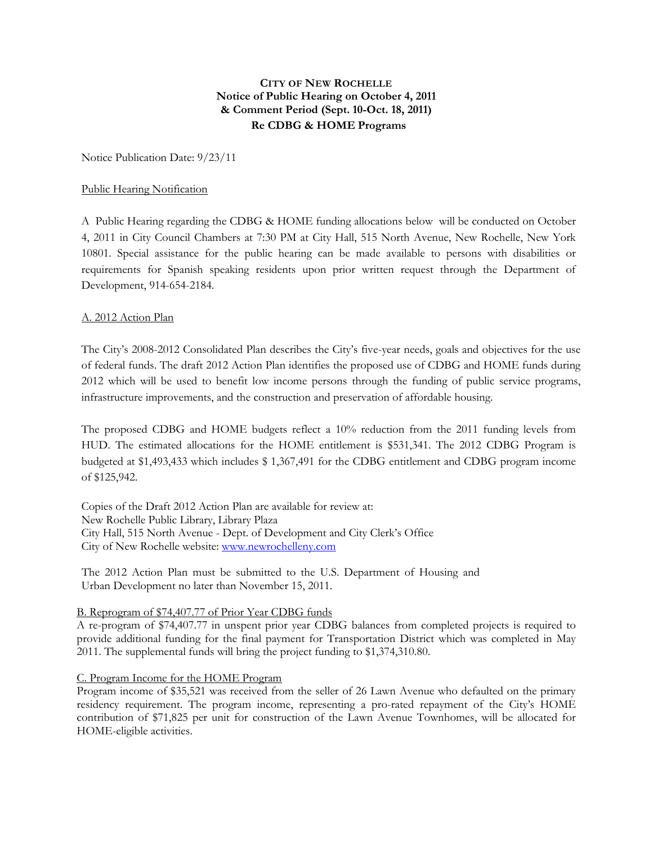# **CITY OF NEW ROCHELLE Notice of Public Hearing on October 4, 2011 & Comment Period (Sept. 10-Oct. 18, 2011) Re CDBG & HOME Programs**

Notice Publication Date: 9/23/11

### Public Hearing Notification

A Public Hearing regarding the CDBG & HOME funding allocations below will be conducted on October 4, 2011 in City Council Chambers at 7:30 PM at City Hall, 515 North Avenue, New Rochelle, New York 10801. Special assistance for the public hearing can be made available to persons with disabilities or requirements for Spanish speaking residents upon prior written request through the Department of Development, 914-654-2184.

## A. 2012 Action Plan

The City's 2008-2012 Consolidated Plan describes the City's five-year needs, goals and objectives for the use of federal funds. The draft 2012 Action Plan identifies the proposed use of CDBG and HOME funds during 2012 which will be used to benefit low income persons through the funding of public service programs, infrastructure improvements, and the construction and preservation of affordable housing.

The proposed CDBG and HOME budgets reflect a 10% reduction from the 2011 funding levels from HUD. The estimated allocations for the HOME entitlement is \$531,341. The 2012 CDBG Program is budgeted at \$1,493,433 which includes \$ 1,367,491 for the CDBG entitlement and CDBG program income of \$125,942.

Copies of the Draft 2012 Action Plan are available for review at: New Rochelle Public Library, Library Plaza City Hall, 515 North Avenue - Dept. of Development and City Clerk's Office City of New Rochelle website: [www.newrochelleny.com](http://www.newrochelleny.com/)

The 2012 Action Plan must be submitted to the U.S. Department of Housing and Urban Development no later than November 15, 2011.

### B. Reprogram of \$74,407.77 of Prior Year CDBG funds

A re-program of \$74,407.77 in unspent prior year CDBG balances from completed projects is required to provide additional funding for the final payment for Transportation District which was completed in May 2011. The supplemental funds will bring the project funding to \$1,374,310.80.

### C. Program Income for the HOME Program

Program income of \$35,521 was received from the seller of 26 Lawn Avenue who defaulted on the primary residency requirement. The program income, representing a pro-rated repayment of the City's HOME contribution of \$71,825 per unit for construction of the Lawn Avenue Townhomes, will be allocated for HOME-eligible activities.